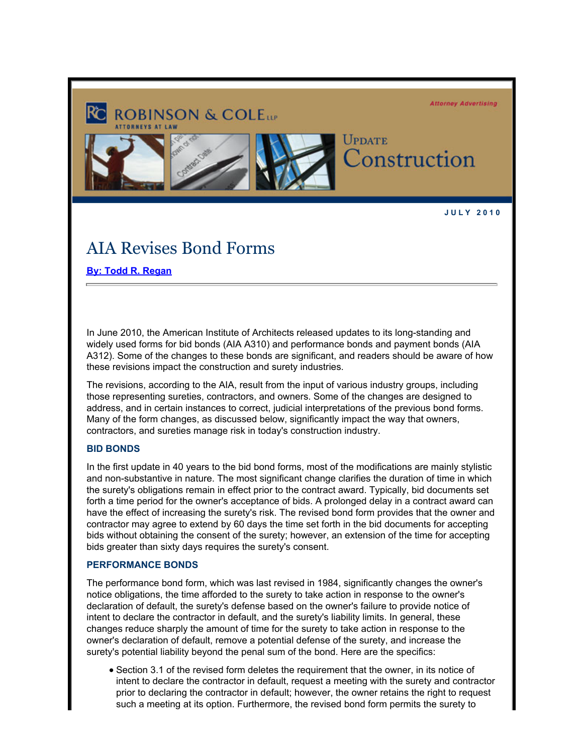

**J U L Y 2 0 1 0** 

# AIA Revises Bond Forms

**[By: Todd R. Regan](http://www.rc.com/?ju=fe2216777d6d077e721072&ls=fdeb10747163027b7d177372&m=fefb1671756c0d&l=fe941573716d077a75&s=fe191d757d600c7a751376&jb=ffcf14&t=)**

In June 2010, the American Institute of Architects released updates to its long-standing and widely used forms for bid bonds (AIA A310) and performance bonds and payment bonds (AIA A312). Some of the changes to these bonds are significant, and readers should be aware of how these revisions impact the construction and surety industries.

The revisions, according to the AIA, result from the input of various industry groups, including those representing sureties, contractors, and owners. Some of the changes are designed to address, and in certain instances to correct, judicial interpretations of the previous bond forms. Many of the form changes, as discussed below, significantly impact the way that owners, contractors, and sureties manage risk in today's construction industry.

#### **BID BONDS**

In the first update in 40 years to the bid bond forms, most of the modifications are mainly stylistic and non-substantive in nature. The most significant change clarifies the duration of time in which the surety's obligations remain in effect prior to the contract award. Typically, bid documents set forth a time period for the owner's acceptance of bids. A prolonged delay in a contract award can have the effect of increasing the surety's risk. The revised bond form provides that the owner and contractor may agree to extend by 60 days the time set forth in the bid documents for accepting bids without obtaining the consent of the surety; however, an extension of the time for accepting bids greater than sixty days requires the surety's consent.

## **PERFORMANCE BONDS**

The performance bond form, which was last revised in 1984, significantly changes the owner's notice obligations, the time afforded to the surety to take action in response to the owner's declaration of default, the surety's defense based on the owner's failure to provide notice of intent to declare the contractor in default, and the surety's liability limits. In general, these changes reduce sharply the amount of time for the surety to take action in response to the owner's declaration of default, remove a potential defense of the surety, and increase the surety's potential liability beyond the penal sum of the bond. Here are the specifics:

Section 3.1 of the revised form deletes the requirement that the owner, in its notice of intent to declare the contractor in default, request a meeting with the surety and contractor prior to declaring the contractor in default; however, the owner retains the right to request such a meeting at its option. Furthermore, the revised bond form permits the surety to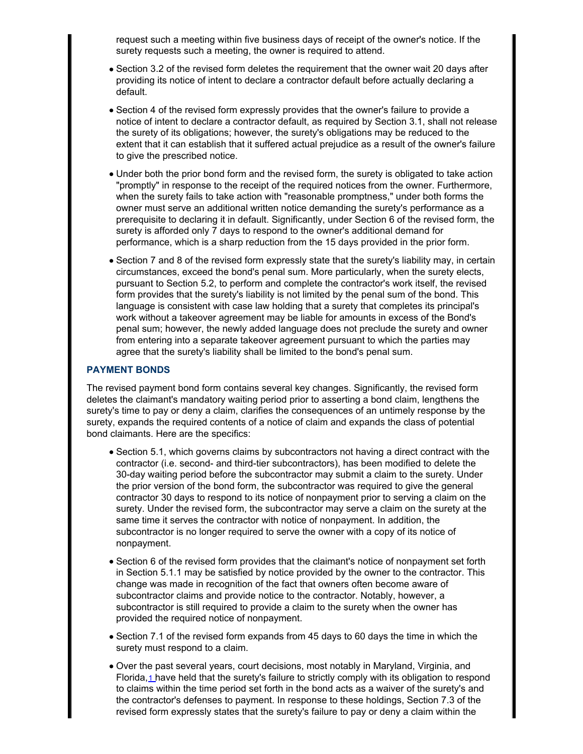request such a meeting within five business days of receipt of the owner's notice. If the surety requests such a meeting, the owner is required to attend.

- Section 3.2 of the revised form deletes the requirement that the owner wait 20 days after providing its notice of intent to declare a contractor default before actually declaring a default.
- Section 4 of the revised form expressly provides that the owner's failure to provide a notice of intent to declare a contractor default, as required by Section 3.1, shall not release the surety of its obligations; however, the surety's obligations may be reduced to the extent that it can establish that it suffered actual prejudice as a result of the owner's failure to give the prescribed notice.
- Under both the prior bond form and the revised form, the surety is obligated to take action "promptly" in response to the receipt of the required notices from the owner. Furthermore, when the surety fails to take action with "reasonable promptness," under both forms the owner must serve an additional written notice demanding the surety's performance as a prerequisite to declaring it in default. Significantly, under Section 6 of the revised form, the surety is afforded only 7 days to respond to the owner's additional demand for performance, which is a sharp reduction from the 15 days provided in the prior form.
- Section 7 and 8 of the revised form expressly state that the surety's liability may, in certain circumstances, exceed the bond's penal sum. More particularly, when the surety elects, pursuant to Section 5.2, to perform and complete the contractor's work itself, the revised form provides that the surety's liability is not limited by the penal sum of the bond. This language is consistent with case law holding that a surety that completes its principal's work without a takeover agreement may be liable for amounts in excess of the Bond's penal sum; however, the newly added language does not preclude the surety and owner from entering into a separate takeover agreement pursuant to which the parties may agree that the surety's liability shall be limited to the bond's penal sum.

### **PAYMENT BONDS**

The revised payment bond form contains several key changes. Significantly, the revised form deletes the claimant's mandatory waiting period prior to asserting a bond claim, lengthens the surety's time to pay or deny a claim, clarifies the consequences of an untimely response by the surety, expands the required contents of a notice of claim and expands the class of potential bond claimants. Here are the specifics:

- Section 5.1, which governs claims by subcontractors not having a direct contract with the contractor (i.e. second- and third-tier subcontractors), has been modified to delete the 30-day waiting period before the subcontractor may submit a claim to the surety. Under the prior version of the bond form, the subcontractor was required to give the general contractor 30 days to respond to its notice of nonpayment prior to serving a claim on the surety. Under the revised form, the subcontractor may serve a claim on the surety at the same time it serves the contractor with notice of nonpayment. In addition, the subcontractor is no longer required to serve the owner with a copy of its notice of nonpayment.
- Section 6 of the revised form provides that the claimant's notice of nonpayment set forth in Section 5.1.1 may be satisfied by notice provided by the owner to the contractor. This change was made in recognition of the fact that owners often become aware of subcontractor claims and provide notice to the contractor. Notably, however, a subcontractor is still required to provide a claim to the surety when the owner has provided the required notice of nonpayment.
- Section 7.1 of the revised form expands from 45 days to 60 days the time in which the surety must respond to a claim.
- Over the past several years, court decisions, most notably in Maryland, Virginia, and Florida,[1]( :80/#1) have held that the surety's failure to strictly comply with its obligation to respond to claims within the time period set forth in the bond acts as a waiver of the surety's and the contractor's defenses to payment. In response to these holdings, Section 7.3 of the revised form expressly states that the surety's failure to pay or deny a claim within the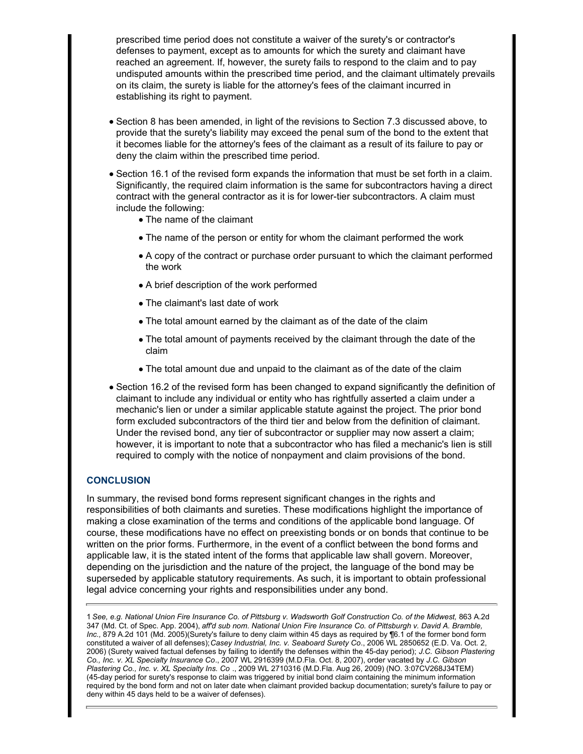prescribed time period does not constitute a waiver of the surety's or contractor's defenses to payment, except as to amounts for which the surety and claimant have reached an agreement. If, however, the surety fails to respond to the claim and to pay undisputed amounts within the prescribed time period, and the claimant ultimately prevails on its claim, the surety is liable for the attorney's fees of the claimant incurred in establishing its right to payment.

- Section 8 has been amended, in light of the revisions to Section 7.3 discussed above, to provide that the surety's liability may exceed the penal sum of the bond to the extent that it becomes liable for the attorney's fees of the claimant as a result of its failure to pay or deny the claim within the prescribed time period.
- Section 16.1 of the revised form expands the information that must be set forth in a claim. Significantly, the required claim information is the same for subcontractors having a direct contract with the general contractor as it is for lower-tier subcontractors. A claim must include the following:
	- The name of the claimant
	- The name of the person or entity for whom the claimant performed the work
	- A copy of the contract or purchase order pursuant to which the claimant performed the work
	- A brief description of the work performed
	- The claimant's last date of work
	- The total amount earned by the claimant as of the date of the claim
	- The total amount of payments received by the claimant through the date of the claim
	- The total amount due and unpaid to the claimant as of the date of the claim
- Section 16.2 of the revised form has been changed to expand significantly the definition of claimant to include any individual or entity who has rightfully asserted a claim under a mechanic's lien or under a similar applicable statute against the project. The prior bond form excluded subcontractors of the third tier and below from the definition of claimant. Under the revised bond, any tier of subcontractor or supplier may now assert a claim; however, it is important to note that a subcontractor who has filed a mechanic's lien is still required to comply with the notice of nonpayment and claim provisions of the bond.

# **CONCLUSION**

In summary, the revised bond forms represent significant changes in the rights and responsibilities of both claimants and sureties. These modifications highlight the importance of making a close examination of the terms and conditions of the applicable bond language. Of course, these modifications have no effect on preexisting bonds or on bonds that continue to be written on the prior forms. Furthermore, in the event of a conflict between the bond forms and applicable law, it is the stated intent of the forms that applicable law shall govern. Moreover, depending on the jurisdiction and the nature of the project, the language of the bond may be superseded by applicable statutory requirements. As such, it is important to obtain professional legal advice concerning your rights and responsibilities under any bond.

1 *See, e.g. National Union Fire Insurance Co. of Pittsburg v. Wadsworth Golf Construction Co. of the Midwest,* 863 A.2d 347 (Md. Ct. of Spec. App. 2004), *aff'd sub nom. National Union Fire Insurance Co. of Pittsburgh v. David A. Bramble, Inc.,* 879 A.2d 101 (Md. 2005)(Surety's failure to deny claim within 45 days as required by ¶6.1 of the former bond form constituted a waiver of all defenses); *Casey Industrial, Inc. v. Seaboard Surety Co*., 2006 WL 2850652 (E.D. Va. Oct. 2, 2006) (Surety waived factual defenses by failing to identify the defenses within the 45-day period); *J.C. Gibson Plastering Co., Inc. v. XL Specialty Insurance Co*., 2007 WL 2916399 (M.D.Fla. Oct. 8, 2007), order vacated by *J.C. Gibson Plastering Co., Inc. v. XL Specialty Ins. Co* ., 2009 WL 2710316 (M.D.Fla. Aug 26, 2009) (NO. 3:07CV268J34TEM) (45-day period for surety's response to claim was triggered by initial bond claim containing the minimum information required by the bond form and not on later date when claimant provided backup documentation; surety's failure to pay or deny within 45 days held to be a waiver of defenses).